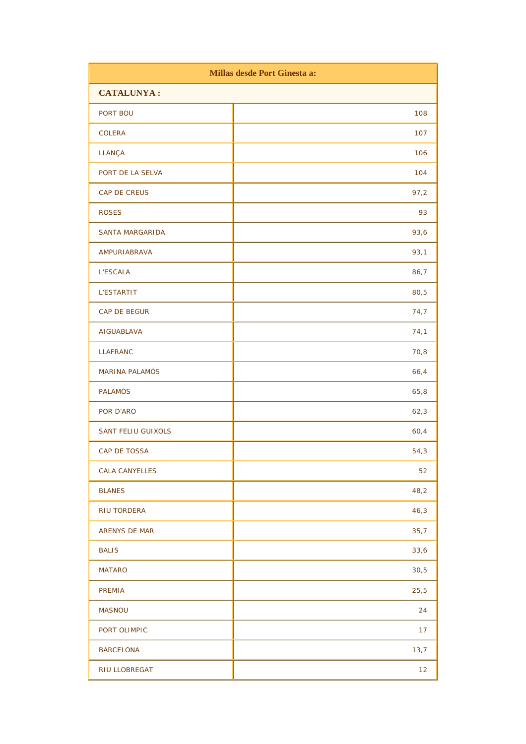| Millas desde Port Ginesta a: |      |
|------------------------------|------|
| <b>CATALUNYA:</b>            |      |
| PORT BOU                     | 108  |
| <b>COLERA</b>                | 107  |
| LLANÇA                       | 106  |
| PORT DE LA SELVA             | 104  |
| CAP DE CREUS                 | 97,2 |
| <b>ROSES</b>                 | 93   |
| SANTA MARGARIDA              | 93,6 |
| AMPURIABRAVA                 | 93,1 |
| <b>L'ESCALA</b>              | 86,7 |
| <b>L'ESTARTIT</b>            | 80,5 |
| CAP DE BEGUR                 | 74,7 |
| AIGUABLAVA                   | 74,1 |
| <b>LLAFRANC</b>              | 70,8 |
| <b>MARINA PALAMÓS</b>        | 66,4 |
| <b>PALAMÓS</b>               | 65,8 |
| POR D'ARO                    | 62,3 |
| <b>SANT FELIU GUIXOLS</b>    | 60,4 |
| CAP DE TOSSA                 | 54,3 |
| <b>CALA CANYELLES</b>        | 52   |
| <b>BLANES</b>                | 48,2 |
| <b>RIU TORDERA</b>           | 46,3 |
| ARENYS DE MAR                | 35,7 |
| <b>BALIS</b>                 | 33,6 |
| <b>MATARO</b>                | 30,5 |
| PREMIA                       | 25,5 |
| <b>MASNOU</b>                | 24   |
| PORT OLIMPIC                 | 17   |
| <b>BARCELONA</b>             | 13,7 |
| RIU LLOBREGAT                | 12   |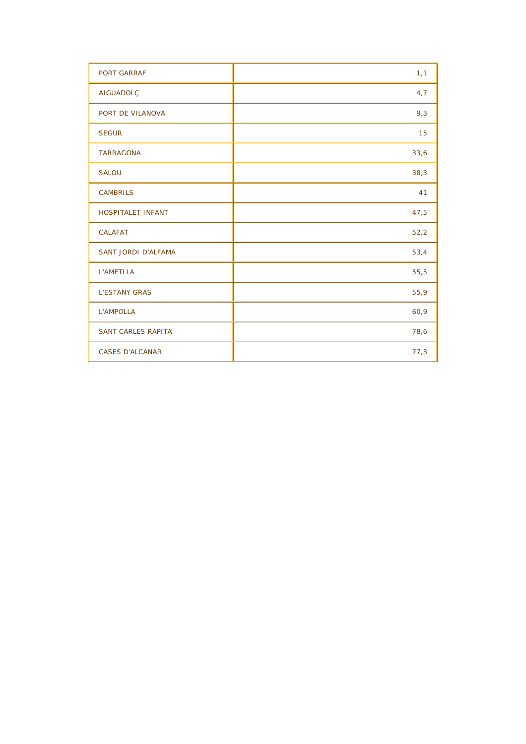| <b>PORT GARRAF</b>         | 1,1  |
|----------------------------|------|
| AIGUADOLÇ                  | 4,7  |
| PORT DE VILANOVA           | 9,3  |
| <b>SEGUR</b>               | 15   |
| <b>TARRAGONA</b>           | 33,6 |
| <b>SALOU</b>               | 38,3 |
| <b>CAMBRILS</b>            | 41   |
| <b>HOSPITALET INFANT</b>   | 47,5 |
| CALAFAT                    | 52,2 |
| <b>SANT JORDI D'ALFAMA</b> | 53,4 |
| L'AMETLLA                  | 55,5 |
| <b>L'ESTANY GRAS</b>       | 55,9 |
| L'AMPOLLA                  | 60,9 |
| <b>SANT CARLES RAPITA</b>  | 78,6 |
| <b>CASES D'ALCANAR</b>     | 77,3 |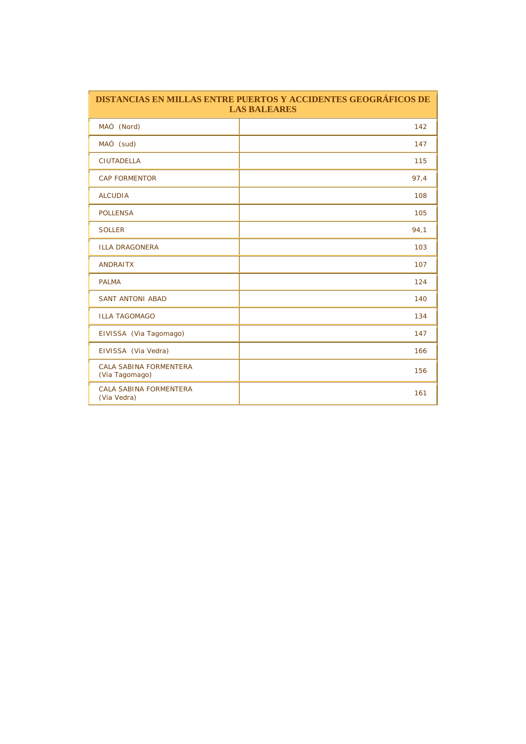| DISTANCIAS EN MILLAS ENTRE PUERTOS Y ACCIDENTES GEOGRÁFICOS DE<br><b>LAS BALEARES</b> |      |
|---------------------------------------------------------------------------------------|------|
| MAÓ (Nord)                                                                            | 142  |
| MAÓ (sud)                                                                             | 147  |
| <b>CIUTADELLA</b>                                                                     | 115  |
| <b>CAP FORMENTOR</b>                                                                  | 97,4 |
| <b>ALCUDIA</b>                                                                        | 108  |
| <b>POLLENSA</b>                                                                       | 105  |
| <b>SOLLER</b>                                                                         | 94,1 |
| <b>ILLA DRAGONERA</b>                                                                 | 103  |
| <b>ANDRAITX</b>                                                                       | 107  |
| <b>PALMA</b>                                                                          | 124  |
| <b>SANT ANTONI ABAD</b>                                                               | 140  |
| <b>ILLA TAGOMAGO</b>                                                                  | 134  |
| EIVISSA (Via Tagomago)                                                                | 147  |
| EIVISSA (Via Vedra)                                                                   | 166  |
| CALA SABINA FORMENTERA<br>(Via Tagomago)                                              | 156  |
| <b>CALA SABINA FORMENTERA</b><br>(Via Vedra)                                          | 161  |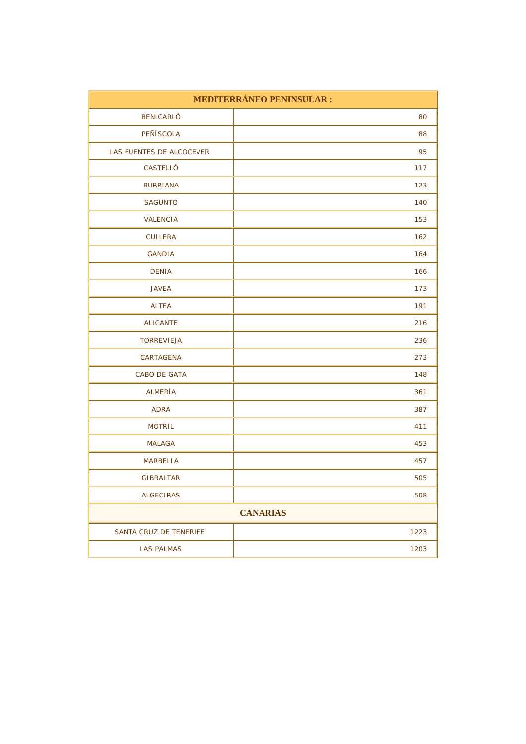| MEDITERRÁNEO PENINSULAR : |      |
|---------------------------|------|
| <b>BENICARLÓ</b>          | 80   |
| PEÑÍSCOLA                 | 88   |
| LAS FUENTES DE ALCOCEVER  | 95   |
| CASTELLÓ                  | 117  |
| <b>BURRIANA</b>           | 123  |
| <b>SAGUNTO</b>            | 140  |
| <b>VALENCIA</b>           | 153  |
| <b>CULLERA</b>            | 162  |
| <b>GANDIA</b>             | 164  |
| <b>DENIA</b>              | 166  |
| <b>JAVEA</b>              | 173  |
| <b>ALTEA</b>              | 191  |
| <b>ALICANTE</b>           | 216  |
| <b>TORREVIEJA</b>         | 236  |
| CARTAGENA                 | 273  |
| CABO DE GATA              | 148  |
| ALMERÍA                   | 361  |
| <b>ADRA</b>               | 387  |
| <b>MOTRIL</b>             | 411  |
| <b>MALAGA</b>             | 453  |
| <b>MARBELLA</b>           | 457  |
| <b>GIBRALTAR</b>          | 505  |
| <b>ALGECIRAS</b>          | 508  |
| <b>CANARIAS</b>           |      |
| SANTA CRUZ DE TENERIFE    | 1223 |
| <b>LAS PALMAS</b>         | 1203 |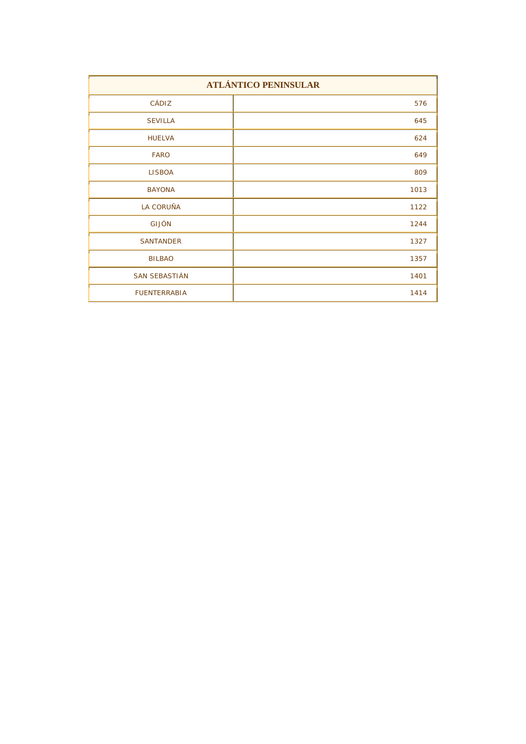| <b>ATLÁNTICO PENINSULAR</b> |      |
|-----------------------------|------|
| CÁDIZ                       | 576  |
| <b>SEVILLA</b>              | 645  |
| <b>HUELVA</b>               | 624  |
| <b>FARO</b>                 | 649  |
| <b>LISBOA</b>               | 809  |
| <b>BAYONA</b>               | 1013 |
| <b>LA CORUÑA</b>            | 1122 |
| <b>GIJÓN</b>                | 1244 |
| <b>SANTANDER</b>            | 1327 |
| <b>BILBAO</b>               | 1357 |
| <b>SAN SEBASTIÁN</b>        | 1401 |
| <b>FUENTERRABIA</b>         | 1414 |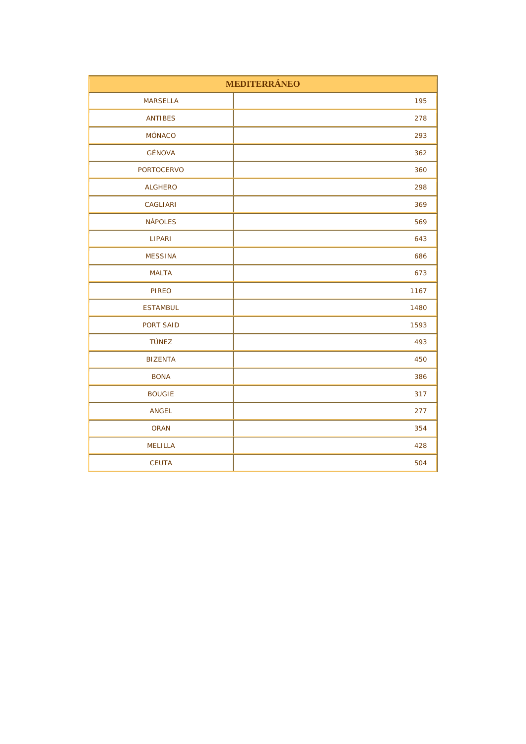| MEDITERRÁNEO      |      |
|-------------------|------|
| <b>MARSELLA</b>   | 195  |
| <b>ANTIBES</b>    | 278  |
| MÓNACO            | 293  |
| GÉNOVA            | 362  |
| <b>PORTOCERVO</b> | 360  |
| <b>ALGHERO</b>    | 298  |
| CAGLIARI          | 369  |
| <b>NÁPOLES</b>    | 569  |
| <b>LIPARI</b>     | 643  |
| <b>MESSINA</b>    | 686  |
| <b>MALTA</b>      | 673  |
| <b>PIREO</b>      | 1167 |
| <b>ESTAMBUL</b>   | 1480 |
| PORT SAID         | 1593 |
| <b>TÚNEZ</b>      | 493  |
| <b>BIZENTA</b>    | 450  |
| <b>BONA</b>       | 386  |
| <b>BOUGIE</b>     | 317  |
| <b>ANGEL</b>      | 277  |
| <b>ORAN</b>       | 354  |
| <b>MELILLA</b>    | 428  |
| <b>CEUTA</b>      | 504  |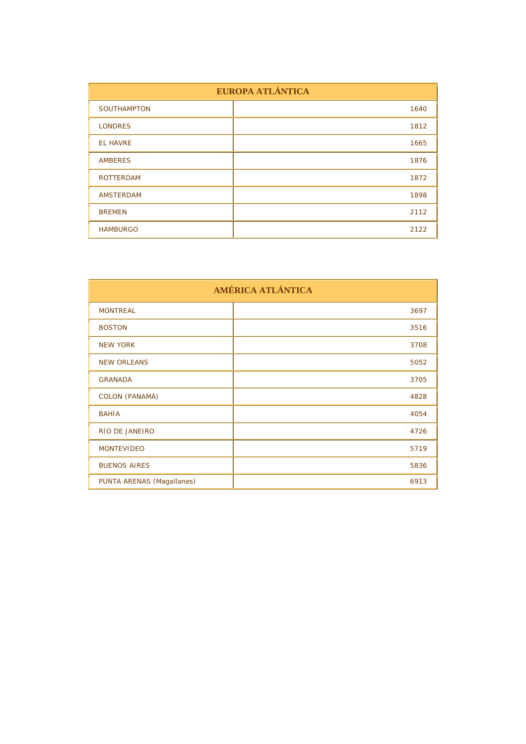| EUROPA ATLÁNTICA   |      |
|--------------------|------|
| <b>SOUTHAMPTON</b> | 1640 |
| <b>LONDRES</b>     | 1812 |
| <b>EL HAVRE</b>    | 1665 |
| <b>AMBERES</b>     | 1876 |
| <b>ROTTERDAM</b>   | 1872 |
| <b>AMSTERDAM</b>   | 1898 |
| <b>BREMEN</b>      | 2112 |
| <b>HAMBURGO</b>    | 2122 |

| AMÉRICA ATLÁNTICA         |      |
|---------------------------|------|
| <b>MONTREAL</b>           | 3697 |
| <b>BOSTON</b>             | 3516 |
| <b>NEW YORK</b>           | 3708 |
| <b>NEW ORLEANS</b>        | 5052 |
| <b>GRANADA</b>            | 3705 |
| COLON (PANAMÁ)            | 4828 |
| <b>BAHÍA</b>              | 4054 |
| RÍO DE JANEIRO            | 4726 |
| <b>MONTEVIDEO</b>         | 5719 |
| <b>BUENOS AIRES</b>       | 5836 |
| PUNTA ARENAS (Magallanes) | 6913 |